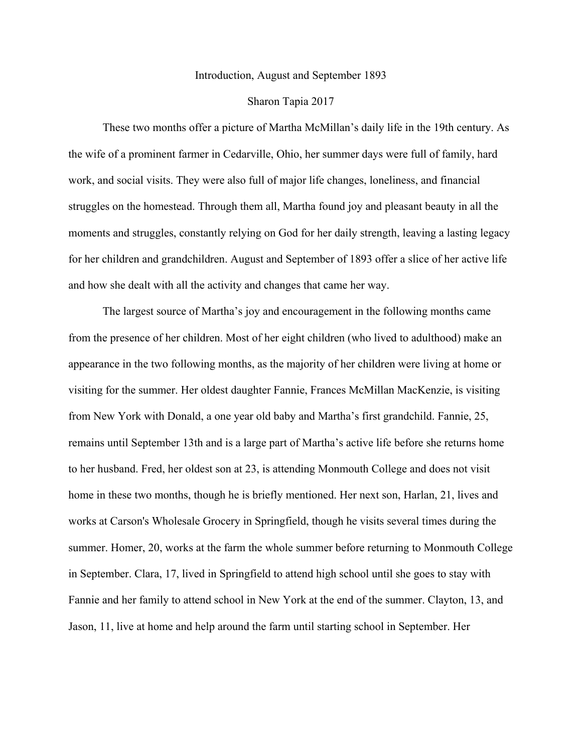## Introduction, August and September 1893

## Sharon Tapia 2017

These two months offer a picture of Martha McMillan's daily life in the 19th century. As the wife of a prominent farmer in Cedarville, Ohio, her summer days were full of family, hard work, and social visits. They were also full of major life changes, loneliness, and financial struggles on the homestead. Through them all, Martha found joy and pleasant beauty in all the moments and struggles, constantly relying on God for her daily strength, leaving a lasting legacy for her children and grandchildren. August and September of 1893 offer a slice of her active life and how she dealt with all the activity and changes that came her way.

The largest source of Martha's joy and encouragement in the following months came from the presence of her children. Most of her eight children (who lived to adulthood) make an appearance in the two following months, as the majority of her children were living at home or visiting for the summer. Her oldest daughter Fannie, Frances McMillan MacKenzie, is visiting from New York with Donald, a one year old baby and Martha's first grandchild. Fannie, 25, remains until September 13th and is a large part of Martha's active life before she returns home to her husband. Fred, her oldest son at 23, is attending Monmouth College and does not visit home in these two months, though he is briefly mentioned. Her next son, Harlan, 21, lives and works at Carson's Wholesale Grocery in Springfield, though he visits several times during the summer. Homer, 20, works at the farm the whole summer before returning to Monmouth College in September. Clara, 17, lived in Springfield to attend high school until she goes to stay with Fannie and her family to attend school in New York at the end of the summer. Clayton, 13, and Jason, 11, live at home and help around the farm until starting school in September. Her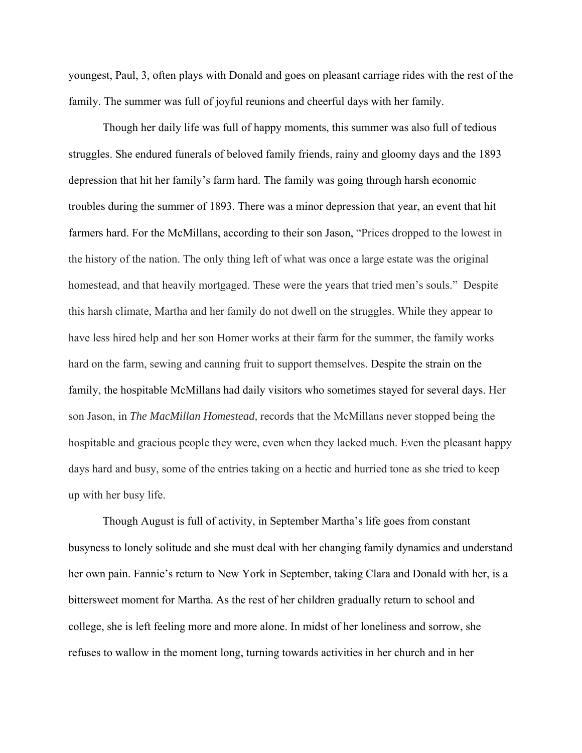youngest, Paul, 3, often plays with Donald and goes on pleasant carriage rides with the rest of the family. The summer was full of joyful reunions and cheerful days with her family.

Though her daily life was full of happy moments, this summer was also full of tedious struggles. She endured funerals of beloved family friends, rainy and gloomy days and the 1893 depression that hit her family's farm hard. The family was going through harsh economic troubles during the summer of 1893. There was a minor depression that year, an event that hit farmers hard. For the McMillans, according to their son Jason, "Prices dropped to the lowest in the history of the nation. The only thing left of what was once a large estate was the original homestead, and that heavily mortgaged. These were the years that tried men's souls." Despite this harsh climate, Martha and her family do not dwell on the struggles. While they appear to have less hired help and her son Homer works at their farm for the summer, the family works hard on the farm, sewing and canning fruit to support themselves. Despite the strain on the family, the hospitable McMillans had daily visitors who sometimes stayed for several days. Her son Jason, in *The MacMillan Homestead,* records that the McMillans never stopped being the hospitable and gracious people they were, even when they lacked much. Even the pleasant happy days hard and busy, some of the entries taking on a hectic and hurried tone as she tried to keep up with her busy life.

Though August is full of activity, in September Martha's life goes from constant busyness to lonely solitude and she must deal with her changing family dynamics and understand her own pain. Fannie's return to New York in September, taking Clara and Donald with her, is a bittersweet moment for Martha. As the rest of her children gradually return to school and college, she is left feeling more and more alone. In midst of her loneliness and sorrow, she refuses to wallow in the moment long, turning towards activities in her church and in her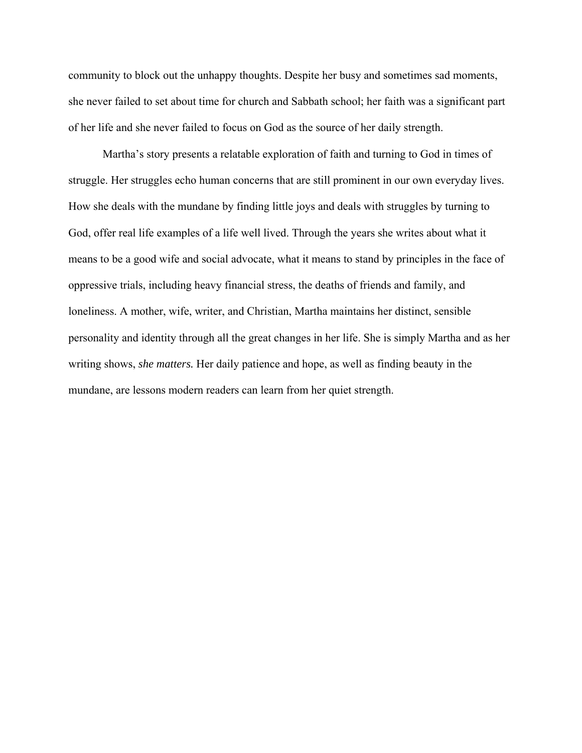community to block out the unhappy thoughts. Despite her busy and sometimes sad moments, she never failed to set about time for church and Sabbath school; her faith was a significant part of her life and she never failed to focus on God as the source of her daily strength.

Martha's story presents a relatable exploration of faith and turning to God in times of struggle. Her struggles echo human concerns that are still prominent in our own everyday lives. How she deals with the mundane by finding little joys and deals with struggles by turning to God, offer real life examples of a life well lived. Through the years she writes about what it means to be a good wife and social advocate, what it means to stand by principles in the face of oppressive trials, including heavy financial stress, the deaths of friends and family, and loneliness. A mother, wife, writer, and Christian, Martha maintains her distinct, sensible personality and identity through all the great changes in her life. She is simply Martha and as her writing shows, *she matters.* Her daily patience and hope, as well as finding beauty in the mundane, are lessons modern readers can learn from her quiet strength.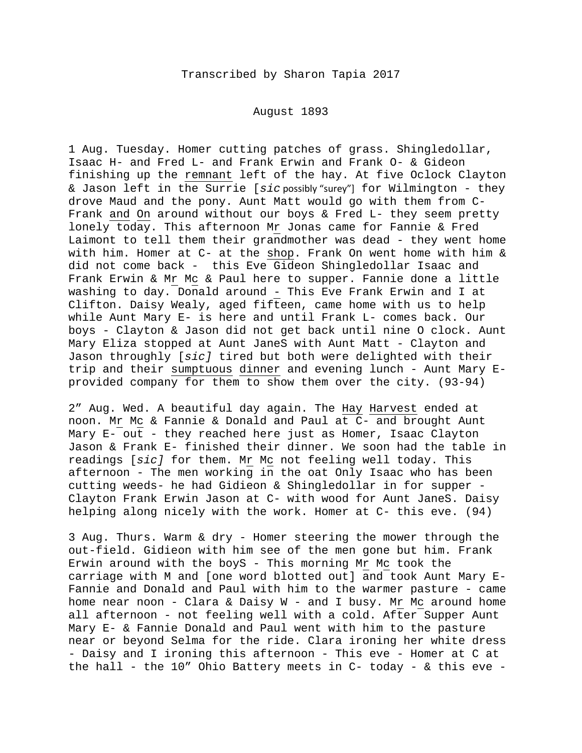## August 1893

1 Aug. Tuesday. Homer cutting patches of grass. Shingledollar, Isaac H- and Fred L- and Frank Erwin and Frank O- & Gideon finishing up the remnant left of the hay. At five Oclock Clayton & Jason left in the Surrie [*sic* possibly "surey"] for Wilmington - they drove Maud and the pony. Aunt Matt would go with them from C-Frank and On around without our boys & Fred L- they seem pretty lonely today. This afternoon Mr Jonas came for Fannie & Fred Laimont to tell them their grandmother was dead - they went home with him. Homer at C- at the shop. Frank On went home with him & did not come back - this Eve Gideon Shingledollar Isaac and Frank Erwin & Mr Mc & Paul here to supper. Fannie done a little washing to day. Donald around - This Eve Frank Erwin and I at Clifton. Daisy Wealy, aged fifteen, came home with us to help while Aunt Mary E- is here and until Frank L- comes back. Our boys - Clayton & Jason did not get back until nine O clock. Aunt Mary Eliza stopped at Aunt JaneS with Aunt Matt - Clayton and Jason throughly [*sic]* tired but both were delighted with their trip and their sumptuous dinner and evening lunch - Aunt Mary Eprovided company for them to show them over the city. (93-94)

2" Aug. Wed. A beautiful day again. The Hay Harvest ended at noon. Mr Mc & Fannie & Donald and Paul at C- and brought Aunt Mary E- out - they reached here just as Homer, Isaac Clayton Jason & Frank E- finished their dinner. We soon had the table in readings [*sic]* for them. Mr Mc not feeling well today. This afternoon - The men working in the oat Only Isaac who has been cutting weeds- he had Gidieon & Shingledollar in for supper - Clayton Frank Erwin Jason at C- with wood for Aunt JaneS. Daisy helping along nicely with the work. Homer at C- this eve. (94)

3 Aug. Thurs. Warm & dry - Homer steering the mower through the out-field. Gidieon with him see of the men gone but him. Frank Erwin around with the boyS - This morning Mr Mc took the carriage with M and [one word blotted out] and took Aunt Mary E-Fannie and Donald and Paul with him to the warmer pasture - came home near noon - Clara & Daisy W - and I busy. Mr Mc around home all afternoon - not feeling well with a cold. After Supper Aunt Mary E- & Fannie Donald and Paul went with him to the pasture near or beyond Selma for the ride. Clara ironing her white dress - Daisy and I ironing this afternoon - This eve - Homer at C at the hall - the 10" Ohio Battery meets in C- today - & this eve -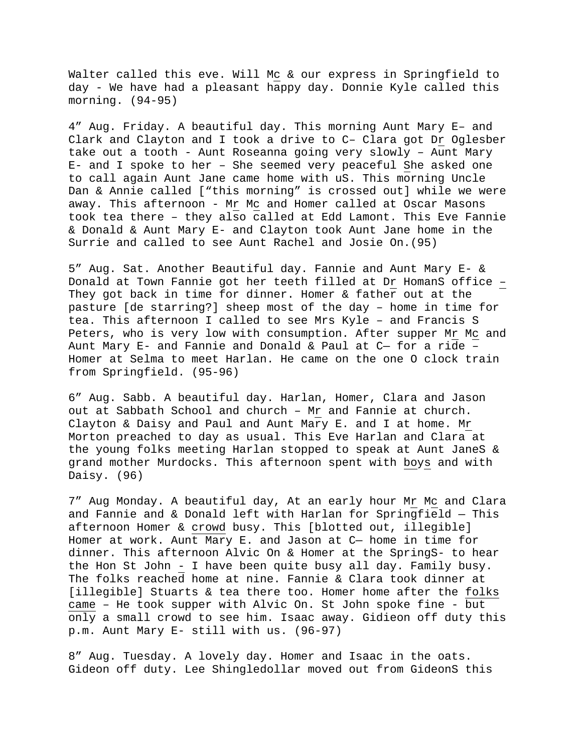Walter called this eve. Will Mc & our express in Springfield to day - We have had a pleasant happy day. Donnie Kyle called this morning. (94-95)

4" Aug. Friday. A beautiful day. This morning Aunt Mary E– and Clark and Clayton and I took a drive to C– Clara got Dr Oglesber take out a tooth - Aunt Roseanna going very slowly – Aunt Mary E- and I spoke to her – She seemed very peaceful She asked one to call again Aunt Jane came home with uS. This morning Uncle Dan & Annie called ["this morning" is crossed out] while we were away. This afternoon - Mr Mc and Homer called at Oscar Masons took tea there – they also called at Edd Lamont. This Eve Fannie & Donald & Aunt Mary E- and Clayton took Aunt Jane home in the Surrie and called to see Aunt Rachel and Josie On.(95)

5" Aug. Sat. Another Beautiful day. Fannie and Aunt Mary E- & Donald at Town Fannie got her teeth filled at Dr HomanS office – They got back in time for dinner. Homer & father out at the pasture [de starring?] sheep most of the day – home in time for tea. This afternoon I called to see Mrs Kyle – and Francis S Peters, who is very low with consumption. After supper Mr Mc and Aunt Mary E- and Fannie and Donald & Paul at C— for a ride – Homer at Selma to meet Harlan. He came on the one O clock train from Springfield. (95-96)

6" Aug. Sabb. A beautiful day. Harlan, Homer, Clara and Jason out at Sabbath School and church – Mr and Fannie at church. Clayton & Daisy and Paul and Aunt Mary E. and I at home. Mr Morton preached to day as usual. This Eve Harlan and Clara at the young folks meeting Harlan stopped to speak at Aunt JaneS & grand mother Murdocks. This afternoon spent with boys and with Daisy. (96)

7" Aug Monday. A beautiful day, At an early hour Mr Mc and Clara and Fannie and & Donald left with Harlan for Springfield — This afternoon Homer & crowd busy. This [blotted out, illegible] Homer at work. Aunt Mary E. and Jason at C— home in time for dinner. This afternoon Alvic On & Homer at the SpringS- to hear the Hon St John - I have been quite busy all day. Family busy. The folks reached home at nine. Fannie & Clara took dinner at [illegible] Stuarts & tea there too. Homer home after the folks came – He took supper with Alvic On. St John spoke fine - but only a small crowd to see him. Isaac away. Gidieon off duty this p.m. Aunt Mary E- still with us. (96-97)

8" Aug. Tuesday. A lovely day. Homer and Isaac in the oats. Gideon off duty. Lee Shingledollar moved out from GideonS this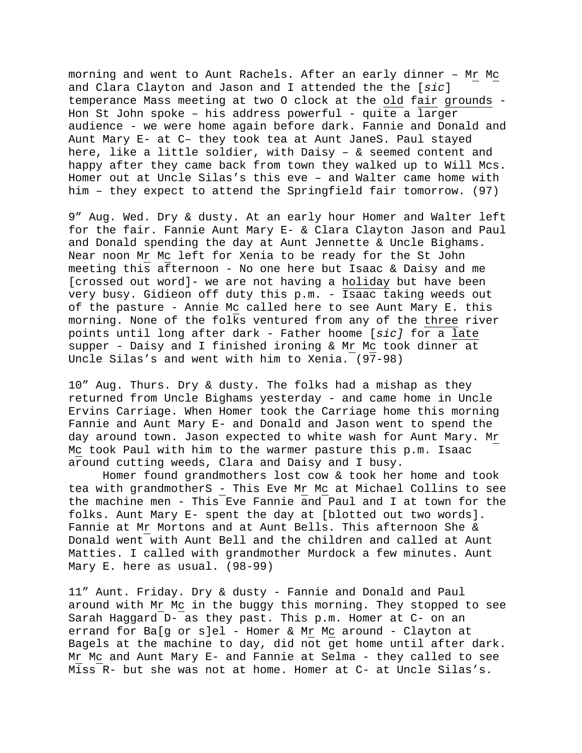morning and went to Aunt Rachels. After an early dinner – Mr Mc and Clara Clayton and Jason and I attended the the [*sic*] temperance Mass meeting at two O clock at the old fair grounds - Hon St John spoke – his address powerful - quite a larger audience - we were home again before dark. Fannie and Donald and Aunt Mary E- at C– they took tea at Aunt JaneS. Paul stayed here, like a little soldier, with Daisy – & seemed content and happy after they came back from town they walked up to Will Mcs. Homer out at Uncle Silas's this eve – and Walter came home with him – they expect to attend the Springfield fair tomorrow. (97)

9" Aug. Wed. Dry & dusty. At an early hour Homer and Walter left for the fair. Fannie Aunt Mary E- & Clara Clayton Jason and Paul and Donald spending the day at Aunt Jennette & Uncle Bighams. Near noon Mr Mc left for Xenia to be ready for the St John meeting this afternoon - No one here but Isaac & Daisy and me [crossed out word]- we are not having a holiday but have been very busy. Gidieon off duty this p.m. - Isaac taking weeds out of the pasture - Annie Mc called here to see Aunt Mary E. this morning. None of the folks ventured from any of the three river points until long after dark - Father hoome [*sic]* for a late supper - Daisy and I finished ironing & Mr Mc took dinner at Uncle Silas's and went with him to Xenia. (97-98)

10" Aug. Thurs. Dry & dusty. The folks had a mishap as they returned from Uncle Bighams yesterday - and came home in Uncle Ervins Carriage. When Homer took the Carriage home this morning Fannie and Aunt Mary E- and Donald and Jason went to spend the day around town. Jason expected to white wash for Aunt Mary. Mr Mc took Paul with him to the warmer pasture this p.m. Isaac around cutting weeds, Clara and Daisy and I busy.

Homer found grandmothers lost cow & took her home and took tea with grandmotherS - This Eve Mr Mc at Michael Collins to see the machine men - This Eve Fannie and Paul and I at town for the folks. Aunt Mary E- spent the day at [blotted out two words]. Fannie at Mr Mortons and at Aunt Bells. This afternoon She & Donald went with Aunt Bell and the children and called at Aunt Matties. I called with grandmother Murdock a few minutes. Aunt Mary E. here as usual. (98-99)

11" Aunt. Friday. Dry & dusty - Fannie and Donald and Paul around with Mr Mc in the buggy this morning. They stopped to see Sarah Haggard D- as they past. This p.m. Homer at C- on an errand for Ba[g or s]el - Homer & Mr Mc around - Clayton at Bagels at the machine to day, did not get home until after dark. Mr Mc and Aunt Mary E- and Fannie at Selma - they called to see Miss R- but she was not at home. Homer at C- at Uncle Silas's.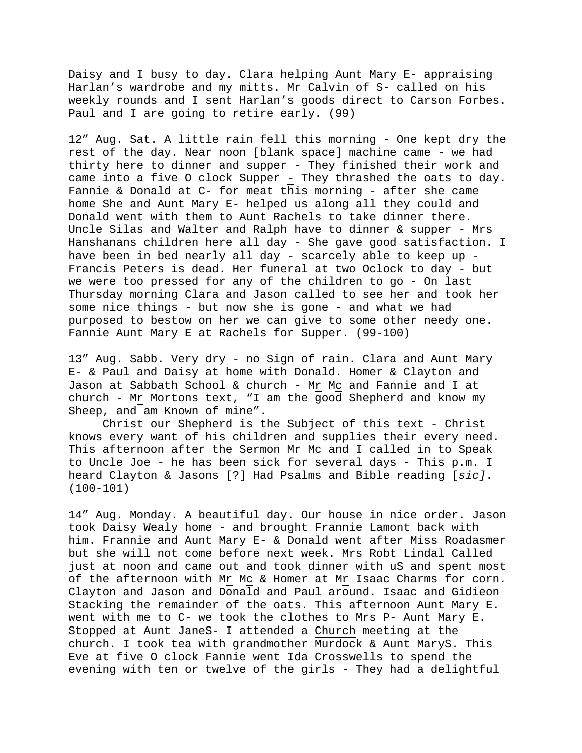Daisy and I busy to day. Clara helping Aunt Mary E- appraising Harlan's wardrobe and my mitts. Mr Calvin of S- called on his weekly rounds and I sent Harlan's goods direct to Carson Forbes. Paul and I are going to retire early. (99)

12" Aug. Sat. A little rain fell this morning - One kept dry the rest of the day. Near noon [blank space] machine came - we had thirty here to dinner and supper - They finished their work and came into a five O clock Supper - They thrashed the oats to day. Fannie & Donald at C- for meat this morning - after she came home She and Aunt Mary E- helped us along all they could and Donald went with them to Aunt Rachels to take dinner there. Uncle Silas and Walter and Ralph have to dinner & supper - Mrs Hanshanans children here all day - She gave good satisfaction. I have been in bed nearly all day - scarcely able to keep up -Francis Peters is dead. Her funeral at two Oclock to day - but we were too pressed for any of the children to go - On last Thursday morning Clara and Jason called to see her and took her some nice things - but now she is gone - and what we had purposed to bestow on her we can give to some other needy one. Fannie Aunt Mary E at Rachels for Supper. (99-100)

13" Aug. Sabb. Very dry - no Sign of rain. Clara and Aunt Mary E- & Paul and Daisy at home with Donald. Homer & Clayton and Jason at Sabbath School & church - Mr Mc and Fannie and I at church - Mr Mortons text, "I am the good Shepherd and know my Sheep, and am Known of mine".

Christ our Shepherd is the Subject of this text - Christ knows every want of his children and supplies their every need. This afternoon after the Sermon Mr Mc and I called in to Speak to Uncle Joe - he has been sick for several days - This p.m. I heard Clayton & Jasons [?] Had Psalms and Bible reading [*sic]*. (100-101)

14" Aug. Monday. A beautiful day. Our house in nice order. Jason took Daisy Wealy home - and brought Frannie Lamont back with him. Frannie and Aunt Mary E- & Donald went after Miss Roadasmer but she will not come before next week. Mrs Robt Lindal Called just at noon and came out and took dinner with uS and spent most of the afternoon with Mr Mc & Homer at Mr Isaac Charms for corn. Clayton and Jason and Donald and Paul around. Isaac and Gidieon Stacking the remainder of the oats. This afternoon Aunt Mary E. went with me to C- we took the clothes to Mrs P- Aunt Mary E. Stopped at Aunt JaneS- I attended a Church meeting at the church. I took tea with grandmother Murdock & Aunt MaryS. This Eve at five O clock Fannie went Ida Crosswells to spend the evening with ten or twelve of the girls - They had a delightful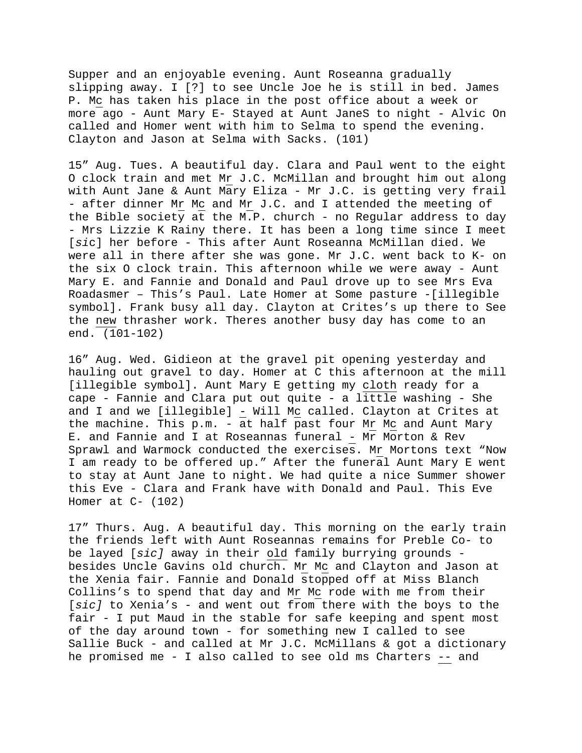Supper and an enjoyable evening. Aunt Roseanna gradually slipping away. I [?] to see Uncle Joe he is still in bed. James P. Mc has taken his place in the post office about a week or more ago - Aunt Mary E- Stayed at Aunt JaneS to night - Alvic On called and Homer went with him to Selma to spend the evening. Clayton and Jason at Selma with Sacks. (101)

15" Aug. Tues. A beautiful day. Clara and Paul went to the eight O clock train and met Mr J.C. McMillan and brought him out along with Aunt Jane & Aunt Mary Eliza - Mr J.C. is getting very frail - after dinner Mr Mc and Mr J.C. and I attended the meeting of the Bible society at the M.P. church - no Regular address to day - Mrs Lizzie K Rainy there. It has been a long time since I meet [*si*c] her before - This after Aunt Roseanna McMillan died. We were all in there after she was gone. Mr J.C. went back to K- on the six O clock train. This afternoon while we were away - Aunt Mary E. and Fannie and Donald and Paul drove up to see Mrs Eva Roadasmer – This's Paul. Late Homer at Some pasture -[illegible symbol]. Frank busy all day. Clayton at Crites's up there to See the new thrasher work. Theres another busy day has come to an end. (101-102)

16" Aug. Wed. Gidieon at the gravel pit opening yesterday and hauling out gravel to day. Homer at C this afternoon at the mill [illegible symbol]. Aunt Mary E getting my cloth ready for a cape - Fannie and Clara put out quite - a little washing - She and I and we [illegible] - Will Mc called. Clayton at Crites at the machine. This p.m. - at half past four Mr Mc and Aunt Mary E. and Fannie and I at Roseannas funeral - Mr Morton & Rev Sprawl and Warmock conducted the exercises. Mr Mortons text "Now I am ready to be offered up." After the funeral Aunt Mary E went to stay at Aunt Jane to night. We had quite a nice Summer shower this Eve - Clara and Frank have with Donald and Paul. This Eve Homer at  $C-$  (102)

17" Thurs. Aug. A beautiful day. This morning on the early train the friends left with Aunt Roseannas remains for Preble Co- to be layed [*sic]* away in their old family burrying grounds besides Uncle Gavins old church. Mr Mc and Clayton and Jason at the Xenia fair. Fannie and Donald stopped off at Miss Blanch Collins's to spend that day and Mr Mc rode with me from their [*sic]* to Xenia's - and went out from there with the boys to the fair - I put Maud in the stable for safe keeping and spent most of the day around town - for something new I called to see Sallie Buck - and called at Mr J.C. McMillans & got a dictionary he promised me - I also called to see old ms Charters -- and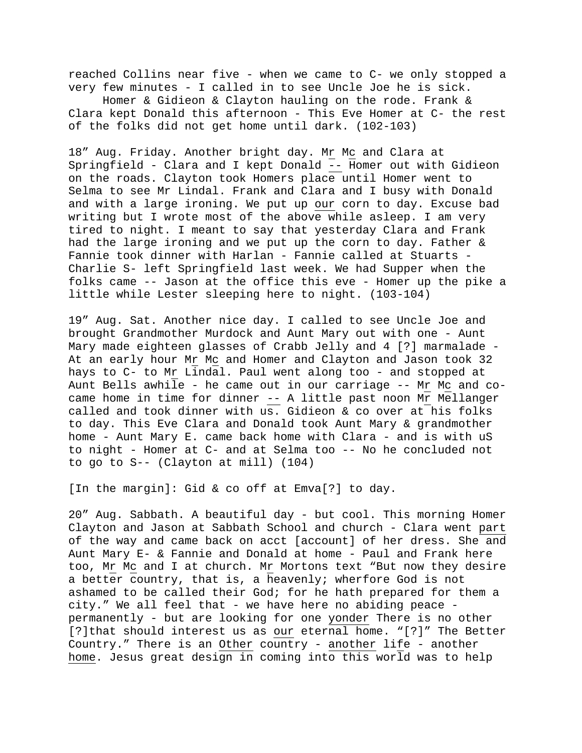reached Collins near five - when we came to C- we only stopped a very few minutes - I called in to see Uncle Joe he is sick.

 Homer & Gidieon & Clayton hauling on the rode. Frank & Clara kept Donald this afternoon - This Eve Homer at C- the rest of the folks did not get home until dark. (102-103)

18" Aug. Friday. Another bright day. Mr Mc and Clara at Springfield - Clara and I kept Donald -- Homer out with Gidieon on the roads. Clayton took Homers place until Homer went to Selma to see Mr Lindal. Frank and Clara and I busy with Donald and with a large ironing. We put up our corn to day. Excuse bad writing but I wrote most of the above while asleep. I am very tired to night. I meant to say that yesterday Clara and Frank had the large ironing and we put up the corn to day. Father & Fannie took dinner with Harlan - Fannie called at Stuarts - Charlie S- left Springfield last week. We had Supper when the folks came -- Jason at the office this eve - Homer up the pike a little while Lester sleeping here to night. (103-104)

19" Aug. Sat. Another nice day. I called to see Uncle Joe and brought Grandmother Murdock and Aunt Mary out with one - Aunt Mary made eighteen glasses of Crabb Jelly and 4 [?] marmalade - At an early hour Mr Mc and Homer and Clayton and Jason took 32 hays to C- to Mr Lindal. Paul went along too - and stopped at Aunt Bells awhile - he came out in our carriage -- Mr Mc and cocame home in time for dinner -- A little past noon Mr Mellanger called and took dinner with us. Gidieon & co over at his folks to day. This Eve Clara and Donald took Aunt Mary & grandmother home - Aunt Mary E. came back home with Clara - and is with uS to night - Homer at C- and at Selma too -- No he concluded not to go to S-- (Clayton at mill) (104)

[In the margin]: Gid & co off at Emva[?] to day.

20" Aug. Sabbath. A beautiful day - but cool. This morning Homer Clayton and Jason at Sabbath School and church - Clara went part of the way and came back on acct [account] of her dress. She and Aunt Mary E- & Fannie and Donald at home - Paul and Frank here too, Mr Mc and I at church. Mr Mortons text "But now they desire a better country, that is, a heavenly; wherfore God is not ashamed to be called their God; for he hath prepared for them a city." We all feel that - we have here no abiding peace permanently - but are looking for one yonder There is no other [?]that should interest us as our eternal home. "[?]" The Better Country." There is an Other country - another life - another home. Jesus great design in coming into this world was to help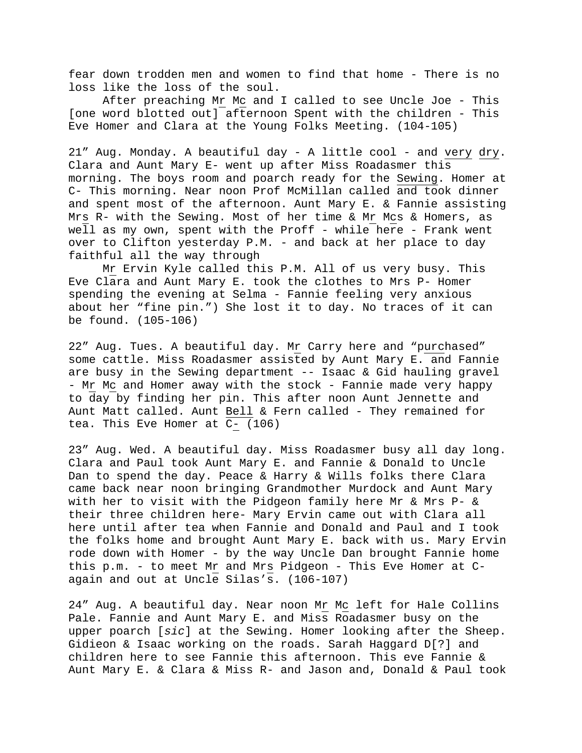fear down trodden men and women to find that home - There is no loss like the loss of the soul.

 After preaching Mr Mc and I called to see Uncle Joe - This [one word blotted out] afternoon Spent with the children - This Eve Homer and Clara at the Young Folks Meeting. (104-105)

21" Aug. Monday. A beautiful day - A little cool - and very dry. Clara and Aunt Mary E- went up after Miss Roadasmer this morning. The boys room and poarch ready for the Sewing. Homer at C- This morning. Near noon Prof McMillan called and took dinner and spent most of the afternoon. Aunt Mary E. & Fannie assisting Mrs R- with the Sewing. Most of her time & Mr Mcs & Homers, as well as my own, spent with the Proff - while here - Frank went over to Clifton yesterday P.M. - and back at her place to day faithful all the way through

Mr Ervin Kyle called this P.M. All of us very busy. This Eve Clara and Aunt Mary E. took the clothes to Mrs P- Homer spending the evening at Selma - Fannie feeling very anxious about her "fine pin.") She lost it to day. No traces of it can be found. (105-106)

22" Aug. Tues. A beautiful day. Mr Carry here and "purchased" some cattle. Miss Roadasmer assisted by Aunt Mary E. and Fannie are busy in the Sewing department -- Isaac & Gid hauling gravel - Mr Mc and Homer away with the stock - Fannie made very happy to day by finding her pin. This after noon Aunt Jennette and Aunt Matt called. Aunt Bell & Fern called - They remained for tea. This Eve Homer at C- (106)

23" Aug. Wed. A beautiful day. Miss Roadasmer busy all day long. Clara and Paul took Aunt Mary E. and Fannie & Donald to Uncle Dan to spend the day. Peace & Harry & Wills folks there Clara came back near noon bringing Grandmother Murdock and Aunt Mary with her to visit with the Pidgeon family here Mr & Mrs P- & their three children here- Mary Ervin came out with Clara all here until after tea when Fannie and Donald and Paul and I took the folks home and brought Aunt Mary E. back with us. Mary Ervin rode down with Homer - by the way Uncle Dan brought Fannie home this p.m. - to meet Mr and Mrs Pidgeon - This Eve Homer at Cagain and out at Uncle Silas's. (106-107)

24" Aug. A beautiful day. Near noon Mr Mc left for Hale Collins Pale. Fannie and Aunt Mary E. and Miss Roadasmer busy on the upper poarch [*sic*] at the Sewing. Homer looking after the Sheep. Gidieon & Isaac working on the roads. Sarah Haggard D[?] and children here to see Fannie this afternoon. This eve Fannie & Aunt Mary E. & Clara & Miss R- and Jason and, Donald & Paul took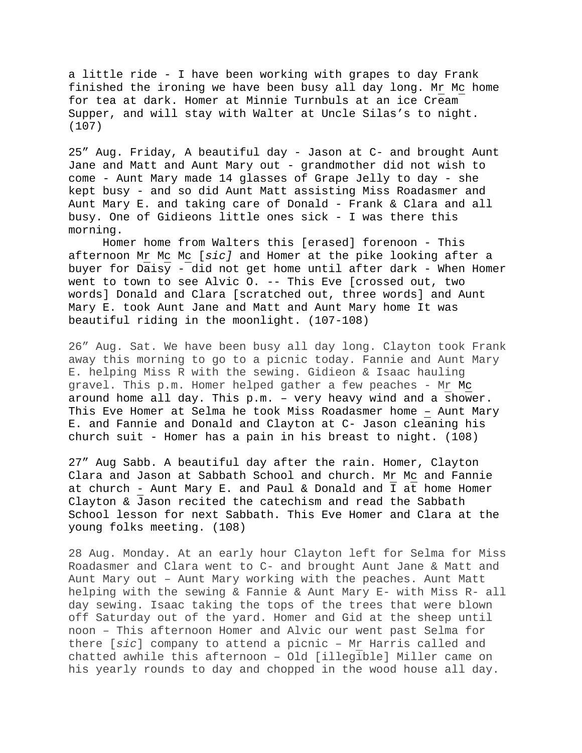a little ride - I have been working with grapes to day Frank finished the ironing we have been busy all day long. Mr Mc home for tea at dark. Homer at Minnie Turnbuls at an ice Cream Supper, and will stay with Walter at Uncle Silas's to night. (107)

25" Aug. Friday, A beautiful day - Jason at C- and brought Aunt Jane and Matt and Aunt Mary out - grandmother did not wish to come - Aunt Mary made 14 glasses of Grape Jelly to day - she kept busy - and so did Aunt Matt assisting Miss Roadasmer and Aunt Mary E. and taking care of Donald - Frank & Clara and all busy. One of Gidieons little ones sick - I was there this morning.

 Homer home from Walters this [erased] forenoon - This afternoon Mr Mc Mc [*sic]* and Homer at the pike looking after a buyer for Daisy - did not get home until after dark - When Homer went to town to see Alvic O. -- This Eve [crossed out, two words] Donald and Clara [scratched out, three words] and Aunt Mary E. took Aunt Jane and Matt and Aunt Mary home It was beautiful riding in the moonlight. (107-108)

26" Aug. Sat. We have been busy all day long. Clayton took Frank away this morning to go to a picnic today. Fannie and Aunt Mary E. helping Miss R with the sewing. Gidieon & Isaac hauling gravel. This p.m. Homer helped gather a few peaches - Mr Mc around home all day. This p.m. – very heavy wind and a shower. This Eve Homer at Selma he took Miss Roadasmer home – Aunt Mary E. and Fannie and Donald and Clayton at C- Jason cleaning his church suit - Homer has a pain in his breast to night. (108)

27" Aug Sabb. A beautiful day after the rain. Homer, Clayton Clara and Jason at Sabbath School and church. Mr Mc and Fannie at church - Aunt Mary E. and Paul & Donald and I at home Homer Clayton & Jason recited the catechism and read the Sabbath School lesson for next Sabbath. This Eve Homer and Clara at the young folks meeting. (108)

28 Aug. Monday. At an early hour Clayton left for Selma for Miss Roadasmer and Clara went to C- and brought Aunt Jane & Matt and Aunt Mary out – Aunt Mary working with the peaches. Aunt Matt helping with the sewing & Fannie & Aunt Mary E- with Miss R- all day sewing. Isaac taking the tops of the trees that were blown off Saturday out of the yard. Homer and Gid at the sheep until noon – This afternoon Homer and Alvic our went past Selma for there [*sic*] company to attend a picnic – Mr Harris called and chatted awhile this afternoon – Old [illegible] Miller came on his yearly rounds to day and chopped in the wood house all day.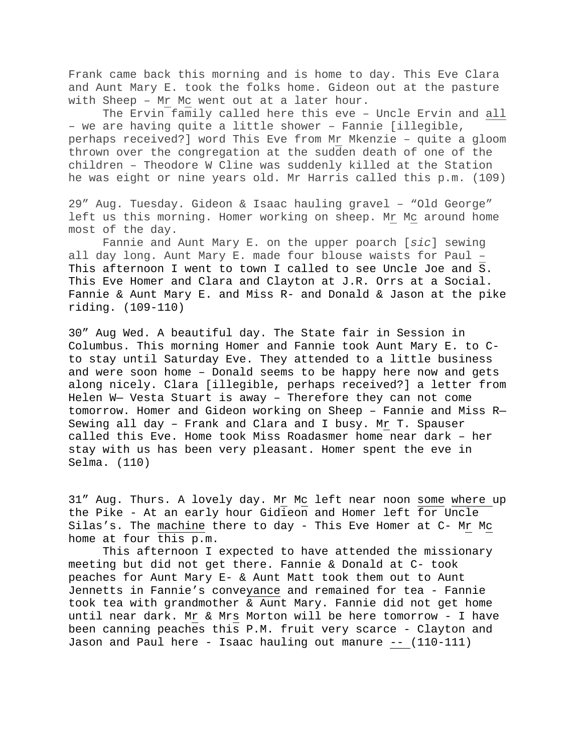Frank came back this morning and is home to day. This Eve Clara and Aunt Mary E. took the folks home. Gideon out at the pasture with Sheep – Mr Mc went out at a later hour.

The Ervin family called here this eve – Uncle Ervin and all – we are having quite a little shower – Fannie [illegible, perhaps received?] word This Eve from Mr Mkenzie – quite a gloom thrown over the congregation at the sudden death of one of the children – Theodore W Cline was suddenly killed at the Station he was eight or nine years old. Mr Harris called this p.m. (109)

29" Aug. Tuesday. Gideon & Isaac hauling gravel – "Old George" left us this morning. Homer working on sheep. Mr Mc around home most of the day.

Fannie and Aunt Mary E. on the upper poarch [*sic*] sewing all day long. Aunt Mary E. made four blouse waists for Paul – This afternoon I went to town I called to see Uncle Joe and S. This Eve Homer and Clara and Clayton at J.R. Orrs at a Social. Fannie & Aunt Mary E. and Miss R- and Donald & Jason at the pike riding. (109-110)

30" Aug Wed. A beautiful day. The State fair in Session in Columbus. This morning Homer and Fannie took Aunt Mary E. to Cto stay until Saturday Eve. They attended to a little business and were soon home – Donald seems to be happy here now and gets along nicely. Clara [illegible, perhaps received?] a letter from Helen W— Vesta Stuart is away – Therefore they can not come tomorrow. Homer and Gideon working on Sheep – Fannie and Miss R— Sewing all day – Frank and Clara and I busy. Mr T. Spauser called this Eve. Home took Miss Roadasmer home near dark – her stay with us has been very pleasant. Homer spent the eve in Selma. (110)

31" Aug. Thurs. A lovely day. Mr Mc left near noon some where up the Pike - At an early hour Gidieon and Homer left for Uncle Silas's. The machine there to day - This Eve Homer at C- Mr Mc home at four this p.m.

 This afternoon I expected to have attended the missionary meeting but did not get there. Fannie & Donald at C- took peaches for Aunt Mary E- & Aunt Matt took them out to Aunt Jennetts in Fannie's conveyance and remained for tea - Fannie took tea with grandmother & Aunt Mary. Fannie did not get home until near dark. Mr & Mrs Morton will be here tomorrow - I have been canning peaches this P.M. fruit very scarce - Clayton and Jason and Paul here - Isaac hauling out manure -- (110-111)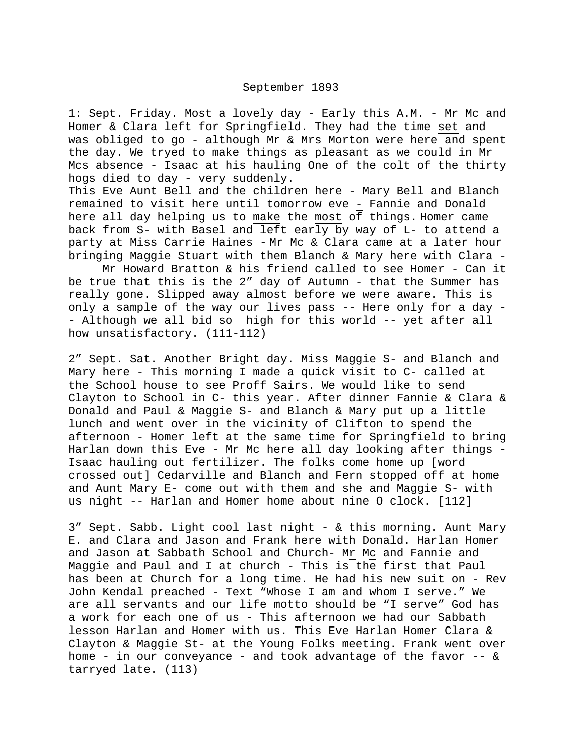## September 1893

1: Sept. Friday. Most a lovely day - Early this A.M. - Mr Mc and Homer & Clara left for Springfield. They had the time set and was obliged to go - although Mr & Mrs Morton were here and spent the day. We tryed to make things as pleasant as we could in Mr Mcs absence - Isaac at his hauling One of the colt of the thirty hogs died to day - very suddenly.

This Eve Aunt Bell and the children here - Mary Bell and Blanch remained to visit here until tomorrow eve - Fannie and Donald here all day helping us to make the most of things. Homer came back from S- with Basel and left early by way of L- to attend a party at Miss Carrie Haines - Mr Mc & Clara came at a later hour bringing Maggie Stuart with them Blanch & Mary here with Clara -

 Mr Howard Bratton & his friend called to see Homer - Can it be true that this is the 2" day of Autumn - that the Summer has really gone. Slipped away almost before we were aware. This is only a sample of the way our lives pass -- Here only for a day - - Although we all bid so high for this world -- yet after all how unsatisfactory. (111-112)

2" Sept. Sat. Another Bright day. Miss Maggie S- and Blanch and Mary here - This morning I made a quick visit to C- called at the School house to see Proff Sairs. We would like to send Clayton to School in C- this year. After dinner Fannie & Clara & Donald and Paul & Maggie S- and Blanch & Mary put up a little lunch and went over in the vicinity of Clifton to spend the afternoon - Homer left at the same time for Springfield to bring Harlan down this Eve - Mr Mc here all day looking after things - Isaac hauling out fertilizer. The folks come home up [word crossed out] Cedarville and Blanch and Fern stopped off at home and Aunt Mary E- come out with them and she and Maggie S- with us night -- Harlan and Homer home about nine O clock. [112]

3" Sept. Sabb. Light cool last night - & this morning. Aunt Mary E. and Clara and Jason and Frank here with Donald. Harlan Homer and Jason at Sabbath School and Church- Mr Mc and Fannie and Maggie and Paul and I at church - This is the first that Paul has been at Church for a long time. He had his new suit on - Rev John Kendal preached - Text "Whose I am and whom I serve." We are all servants and our life motto should be "I serve" God has a work for each one of us - This afternoon we had our Sabbath lesson Harlan and Homer with us. This Eve Harlan Homer Clara & Clayton & Maggie St- at the Young Folks meeting. Frank went over home - in our conveyance - and took advantage of the favor  $-$ - & tarryed late. (113)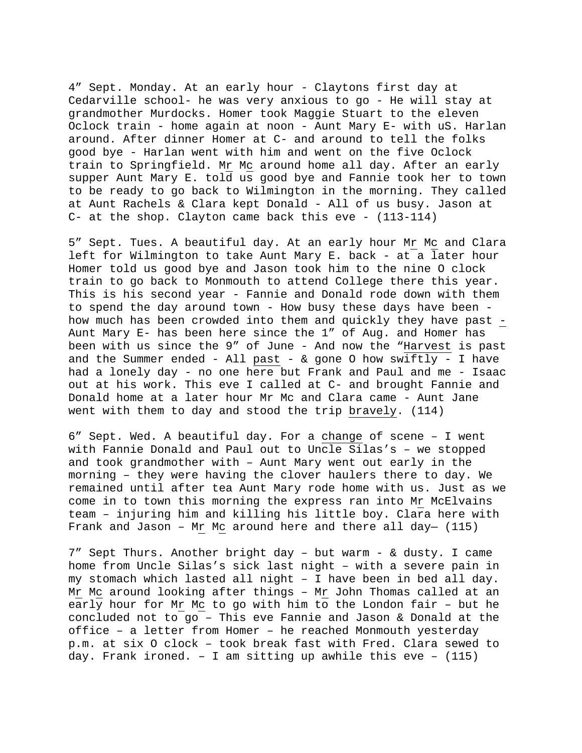4" Sept. Monday. At an early hour - Claytons first day at Cedarville school- he was very anxious to go - He will stay at grandmother Murdocks. Homer took Maggie Stuart to the eleven Oclock train - home again at noon - Aunt Mary E- with uS. Harlan around. After dinner Homer at C- and around to tell the folks good bye - Harlan went with him and went on the five Oclock train to Springfield. Mr Mc around home all day. After an early supper Aunt Mary E. told us good bye and Fannie took her to town to be ready to go back to Wilmington in the morning. They called at Aunt Rachels & Clara kept Donald - All of us busy. Jason at C- at the shop. Clayton came back this eve - (113-114)

5" Sept. Tues. A beautiful day. At an early hour Mr Mc and Clara left for Wilmington to take Aunt Mary E. back - at a later hour Homer told us good bye and Jason took him to the nine O clock train to go back to Monmouth to attend College there this year. This is his second year - Fannie and Donald rode down with them to spend the day around town - How busy these days have been how much has been crowded into them and quickly they have past - Aunt Mary E- has been here since the 1" of Aug. and Homer has been with us since the 9" of June - And now the "Harvest is past and the Summer ended - All past -  $&$  gone O how swiftly - I have had a lonely day - no one here but Frank and Paul and me - Isaac out at his work. This eve I called at C- and brought Fannie and Donald home at a later hour Mr Mc and Clara came - Aunt Jane went with them to day and stood the trip bravely. (114)

6" Sept. Wed. A beautiful day. For a change of scene – I went with Fannie Donald and Paul out to Uncle Silas's – we stopped and took grandmother with – Aunt Mary went out early in the morning – they were having the clover haulers there to day. We remained until after tea Aunt Mary rode home with us. Just as we come in to town this morning the express ran into Mr McElvains team – injuring him and killing his little boy. Clara here with Frank and Jason - Mr Mc around here and there all day- (115)

7" Sept Thurs. Another bright day – but warm - & dusty. I came home from Uncle Silas's sick last night – with a severe pain in my stomach which lasted all night – I have been in bed all day. Mr Mc around looking after things - Mr John Thomas called at an early hour for Mr Mc to go with him to the London fair – but he concluded not to go – This eve Fannie and Jason & Donald at the office – a letter from Homer – he reached Monmouth yesterday p.m. at six O clock – took break fast with Fred. Clara sewed to day. Frank ironed.  $-$  I am sitting up awhile this eve  $-$  (115)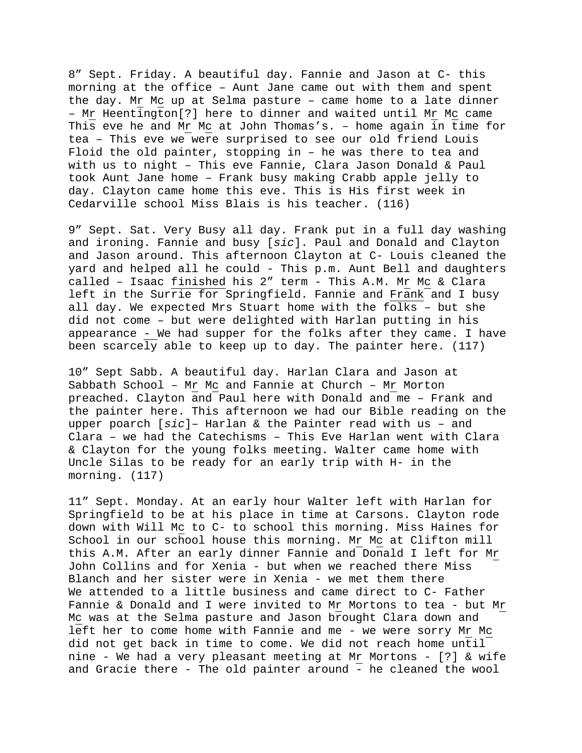8" Sept. Friday. A beautiful day. Fannie and Jason at C- this morning at the office – Aunt Jane came out with them and spent the day. Mr Mc up at Selma pasture – came home to a late dinner – Mr Heentington[?] here to dinner and waited until Mr Mc came This eve he and Mr Mc at John Thomas's. – home again in time for tea – This eve we were surprised to see our old friend Louis Floid the old painter, stopping in – he was there to tea and with us to night – This eve Fannie, Clara Jason Donald & Paul took Aunt Jane home – Frank busy making Crabb apple jelly to day. Clayton came home this eve. This is His first week in Cedarville school Miss Blais is his teacher. (116)

9" Sept. Sat. Very Busy all day. Frank put in a full day washing and ironing. Fannie and busy [*sic*]. Paul and Donald and Clayton and Jason around. This afternoon Clayton at C- Louis cleaned the yard and helped all he could - This p.m. Aunt Bell and daughters called – Isaac finished his 2" term - This A.M. Mr Mc & Clara left in the Surrie for Springfield. Fannie and Frank and I busy all day. We expected Mrs Stuart home with the folks – but she did not come – but were delighted with Harlan putting in his appearance - We had supper for the folks after they came. I have been scarcely able to keep up to day. The painter here. (117)

10" Sept Sabb. A beautiful day. Harlan Clara and Jason at Sabbath School – Mr Mc and Fannie at Church – Mr Morton preached. Clayton and Paul here with Donald and me – Frank and the painter here. This afternoon we had our Bible reading on the upper poarch [*sic*]– Harlan & the Painter read with us – and Clara – we had the Catechisms – This Eve Harlan went with Clara & Clayton for the young folks meeting. Walter came home with Uncle Silas to be ready for an early trip with H- in the morning. (117)

11" Sept. Monday. At an early hour Walter left with Harlan for Springfield to be at his place in time at Carsons. Clayton rode down with Will Mc to C- to school this morning. Miss Haines for School in our school house this morning. Mr Mc at Clifton mill this A.M. After an early dinner Fannie and Donald I left for Mr John Collins and for Xenia - but when we reached there Miss Blanch and her sister were in Xenia - we met them there We attended to a little business and came direct to C- Father Fannie & Donald and I were invited to Mr Mortons to tea - but Mr Mc was at the Selma pasture and Jason brought Clara down and left her to come home with Fannie and me - we were sorry Mr Mc did not get back in time to come. We did not reach home until nine - We had a very pleasant meeting at Mr Mortons - [?] & wife and Gracie there - The old painter around - he cleaned the wool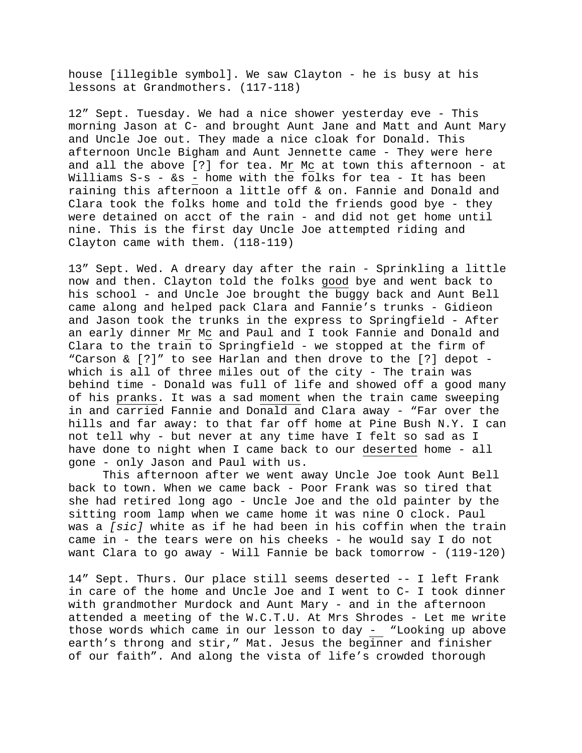house [illegible symbol]. We saw Clayton - he is busy at his lessons at Grandmothers. (117-118)

12" Sept. Tuesday. We had a nice shower yesterday eve - This morning Jason at C- and brought Aunt Jane and Matt and Aunt Mary and Uncle Joe out. They made a nice cloak for Donald. This afternoon Uncle Bigham and Aunt Jennette came - They were here and all the above [?] for tea. Mr Mc at town this afternoon - at Williams S-s - &s - home with the folks for tea - It has been raining this afternoon a little off & on. Fannie and Donald and Clara took the folks home and told the friends good bye - they were detained on acct of the rain - and did not get home until nine. This is the first day Uncle Joe attempted riding and Clayton came with them. (118-119)

13" Sept. Wed. A dreary day after the rain - Sprinkling a little now and then. Clayton told the folks good bye and went back to his school - and Uncle Joe brought the buggy back and Aunt Bell came along and helped pack Clara and Fannie's trunks - Gidieon and Jason took the trunks in the express to Springfield - After an early dinner Mr Mc and Paul and I took Fannie and Donald and Clara to the train to Springfield - we stopped at the firm of "Carson & [?]" to see Harlan and then drove to the [?] depot which is all of three miles out of the city - The train was behind time - Donald was full of life and showed off a good many of his pranks. It was a sad moment when the train came sweeping in and carried Fannie and Donald and Clara away - "Far over the hills and far away: to that far off home at Pine Bush N.Y. I can not tell why - but never at any time have I felt so sad as I have done to night when I came back to our deserted home - all gone - only Jason and Paul with us.

 This afternoon after we went away Uncle Joe took Aunt Bell back to town. When we came back - Poor Frank was so tired that she had retired long ago - Uncle Joe and the old painter by the sitting room lamp when we came home it was nine O clock. Paul was a *[sic]* white as if he had been in his coffin when the train came in - the tears were on his cheeks - he would say I do not want Clara to go away - Will Fannie be back tomorrow - (119-120)

14" Sept. Thurs. Our place still seems deserted -- I left Frank in care of the home and Uncle Joe and I went to C- I took dinner with grandmother Murdock and Aunt Mary - and in the afternoon attended a meeting of the W.C.T.U. At Mrs Shrodes - Let me write those words which came in our lesson to day - "Looking up above earth's throng and stir," Mat. Jesus the beginner and finisher of our faith". And along the vista of life's crowded thorough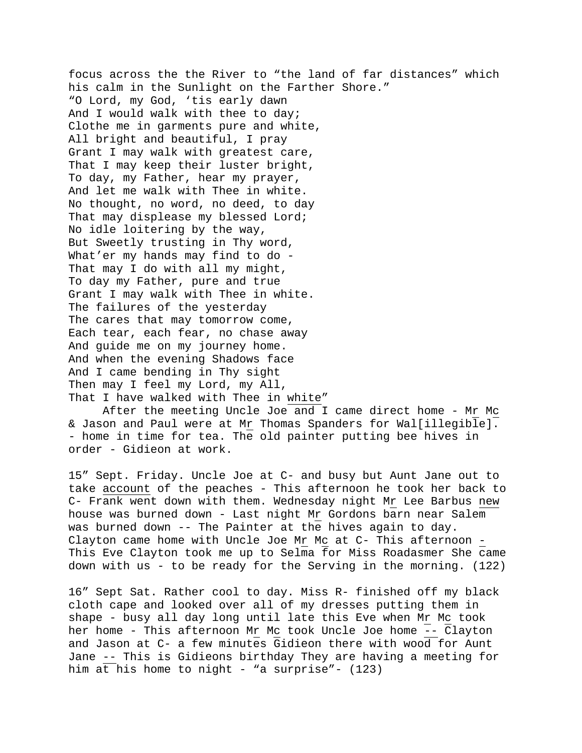focus across the the River to "the land of far distances" which his calm in the Sunlight on the Farther Shore." "O Lord, my God, 'tis early dawn And I would walk with thee to day; Clothe me in garments pure and white, All bright and beautiful, I pray Grant I may walk with greatest care, That I may keep their luster bright, To day, my Father, hear my prayer, And let me walk with Thee in white. No thought, no word, no deed, to day That may displease my blessed Lord; No idle loitering by the way, But Sweetly trusting in Thy word, What'er my hands may find to do -That may I do with all my might, To day my Father, pure and true Grant I may walk with Thee in white. The failures of the yesterday The cares that may tomorrow come, Each tear, each fear, no chase away And guide me on my journey home. And when the evening Shadows face And I came bending in Thy sight Then may I feel my Lord, my All, That I have walked with Thee in white"

 After the meeting Uncle Joe and I came direct home - Mr Mc & Jason and Paul were at Mr Thomas Spanders for Wal[illegible]. - home in time for tea. The old painter putting bee hives in order - Gidieon at work.

15" Sept. Friday. Uncle Joe at C- and busy but Aunt Jane out to take account of the peaches - This afternoon he took her back to C- Frank went down with them. Wednesday night Mr Lee Barbus new house was burned down - Last night Mr Gordons barn near Salem was burned down -- The Painter at the hives again to day. Clayton came home with Uncle Joe Mr Mc at C- This afternoon - This Eve Clayton took me up to Selma for Miss Roadasmer She came down with us - to be ready for the Serving in the morning. (122)

16" Sept Sat. Rather cool to day. Miss R- finished off my black cloth cape and looked over all of my dresses putting them in shape - busy all day long until late this Eve when Mr Mc took her home - This afternoon Mr Mc took Uncle Joe home -- Clayton and Jason at C- a few minutes Gidieon there with wood for Aunt Jane -- This is Gidieons birthday They are having a meeting for him at his home to night - "a surprise" -  $(123)$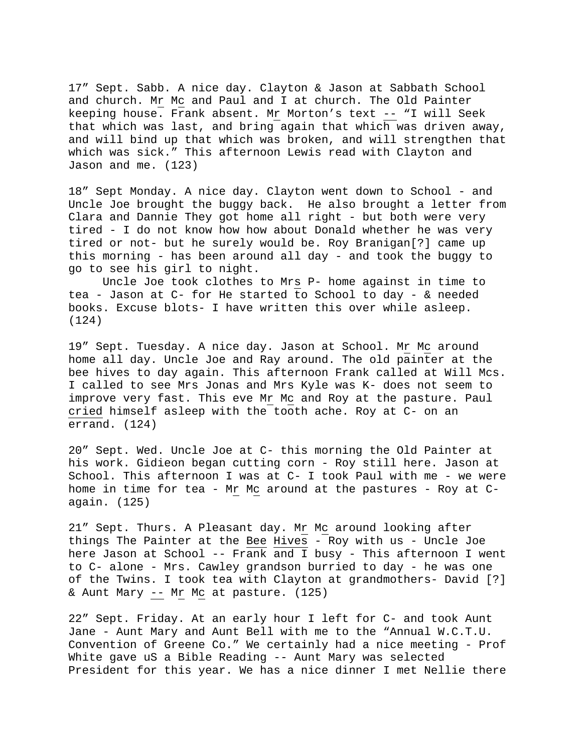17" Sept. Sabb. A nice day. Clayton & Jason at Sabbath School and church. Mr Mc and Paul and I at church. The Old Painter keeping house. Frank absent. Mr Morton's text -- "I will Seek that which was last, and bring again that which was driven away, and will bind up that which was broken, and will strengthen that which was sick." This afternoon Lewis read with Clayton and Jason and me. (123)

18" Sept Monday. A nice day. Clayton went down to School - and Uncle Joe brought the buggy back. He also brought a letter from Clara and Dannie They got home all right - but both were very tired - I do not know how how about Donald whether he was very tired or not- but he surely would be. Roy Branigan[?] came up this morning - has been around all day - and took the buggy to go to see his girl to night.

 Uncle Joe took clothes to Mrs P- home against in time to tea - Jason at C- for He started to School to day - & needed books. Excuse blots- I have written this over while asleep. (124)

19" Sept. Tuesday. A nice day. Jason at School. Mr Mc around home all day. Uncle Joe and Ray around. The old painter at the bee hives to day again. This afternoon Frank called at Will Mcs. I called to see Mrs Jonas and Mrs Kyle was K- does not seem to improve very fast. This eve Mr Mc and Roy at the pasture. Paul cried himself asleep with the tooth ache. Roy at C- on an errand. (124)

20" Sept. Wed. Uncle Joe at C- this morning the Old Painter at his work. Gidieon began cutting corn - Roy still here. Jason at School. This afternoon I was at C- I took Paul with me - we were home in time for tea - Mr Mc around at the pastures - Roy at Cagain. (125)

21" Sept. Thurs. A Pleasant day. Mr Mc around looking after things The Painter at the Bee Hives - Roy with us - Uncle Joe here Jason at School -- Frank and I busy - This afternoon I went to C- alone - Mrs. Cawley grandson burried to day - he was one of the Twins. I took tea with Clayton at grandmothers- David [?] & Aunt Mary  $-$  Mr Mc at pasture. (125)

22" Sept. Friday. At an early hour I left for C- and took Aunt Jane - Aunt Mary and Aunt Bell with me to the "Annual W.C.T.U. Convention of Greene Co." We certainly had a nice meeting - Prof White gave uS a Bible Reading -- Aunt Mary was selected President for this year. We has a nice dinner I met Nellie there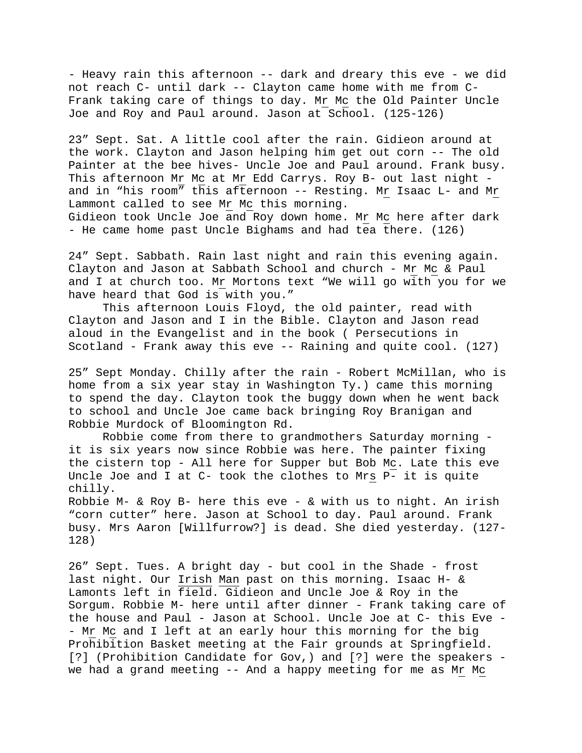- Heavy rain this afternoon -- dark and dreary this eve - we did not reach C- until dark -- Clayton came home with me from C-Frank taking care of things to day. Mr Mc the Old Painter Uncle Joe and Roy and Paul around. Jason at School. (125-126)

23" Sept. Sat. A little cool after the rain. Gidieon around at the work. Clayton and Jason helping him get out corn -- The old Painter at the bee hives- Uncle Joe and Paul around. Frank busy. This afternoon Mr Mc at Mr Edd Carrys. Roy B- out last night and in "his room" this afternoon -- Resting. Mr Isaac L- and Mr Lammont called to see Mr Mc this morning. Gidieon took Uncle Joe and Roy down home. Mr Mc here after dark - He came home past Uncle Bighams and had tea there. (126)

24" Sept. Sabbath. Rain last night and rain this evening again. Clayton and Jason at Sabbath School and church - Mr Mc & Paul and I at church too. Mr Mortons text "We will go with you for we have heard that God is with you."

 This afternoon Louis Floyd, the old painter, read with Clayton and Jason and I in the Bible. Clayton and Jason read aloud in the Evangelist and in the book ( Persecutions in Scotland - Frank away this eve -- Raining and quite cool. (127)

25" Sept Monday. Chilly after the rain - Robert McMillan, who is home from a six year stay in Washington Ty.) came this morning to spend the day. Clayton took the buggy down when he went back to school and Uncle Joe came back bringing Roy Branigan and Robbie Murdock of Bloomington Rd.

 Robbie come from there to grandmothers Saturday morning it is six years now since Robbie was here. The painter fixing the cistern top - All here for Supper but Bob Mc. Late this eve Uncle Joe and I at C- took the clothes to Mrs P- it is quite chilly.

Robbie M- & Roy B- here this eve - & with us to night. An irish "corn cutter" here. Jason at School to day. Paul around. Frank busy. Mrs Aaron [Willfurrow?] is dead. She died yesterday. (127- 128)

26" Sept. Tues. A bright day - but cool in the Shade - frost last night. Our Irish Man past on this morning. Isaac H- & Lamonts left in field. Gidieon and Uncle Joe & Roy in the Sorgum. Robbie M- here until after dinner - Frank taking care of the house and Paul - Jason at School. Uncle Joe at C- this Eve - - Mr Mc and I left at an early hour this morning for the big Prohibition Basket meeting at the Fair grounds at Springfield. [?] (Prohibition Candidate for Gov,) and [?] were the speakers we had a grand meeting -- And a happy meeting for me as Mr Mc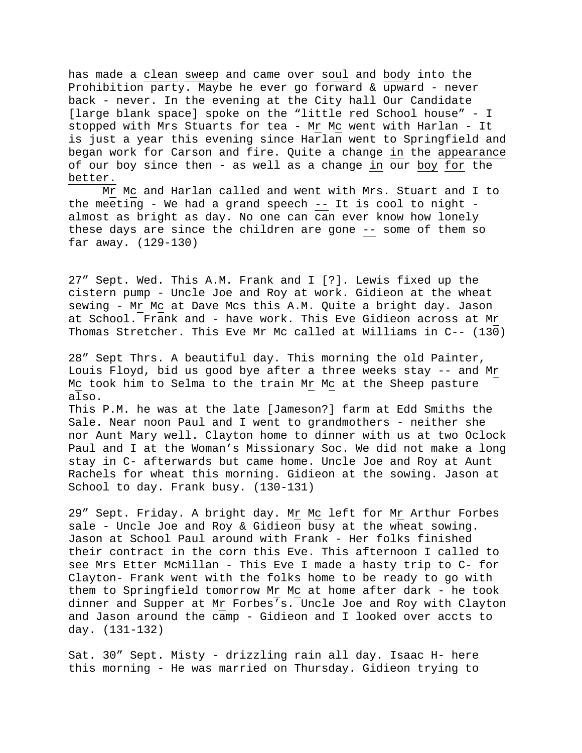has made a clean sweep and came over soul and body into the Prohibition party. Maybe he ever go forward & upward - never back - never. In the evening at the City hall Our Candidate [large blank space] spoke on the "little red School house" - I stopped with Mrs Stuarts for tea - Mr Mc went with Harlan - It is just a year this evening since Harlan went to Springfield and began work for Carson and fire. Quite a change in the appearance of our boy since then - as well as a change in our boy for the better.

 Mr Mc and Harlan called and went with Mrs. Stuart and I to the meeting - We had a grand speech -- It is cool to night almost as bright as day. No one can can ever know how lonely these days are since the children are gone -- some of them so far away. (129-130)

27" Sept. Wed. This A.M. Frank and I [?]. Lewis fixed up the cistern pump - Uncle Joe and Roy at work. Gidieon at the wheat sewing - Mr Mc at Dave Mcs this A.M. Quite a bright day. Jason at School. Frank and - have work. This Eve Gidieon across at Mr Thomas Stretcher. This Eve Mr Mc called at Williams in C-- (130)

28" Sept Thrs. A beautiful day. This morning the old Painter, Louis Floyd, bid us good bye after a three weeks stay -- and Mr Mc took him to Selma to the train Mr Mc at the Sheep pasture also.

This P.M. he was at the late [Jameson?] farm at Edd Smiths the Sale. Near noon Paul and I went to grandmothers - neither she nor Aunt Mary well. Clayton home to dinner with us at two Oclock Paul and I at the Woman's Missionary Soc. We did not make a long stay in C- afterwards but came home. Uncle Joe and Roy at Aunt Rachels for wheat this morning. Gidieon at the sowing. Jason at School to day. Frank busy. (130-131)

29" Sept. Friday. A bright day. Mr Mc left for Mr Arthur Forbes sale - Uncle Joe and Roy & Gidieon busy at the wheat sowing. Jason at School Paul around with Frank - Her folks finished their contract in the corn this Eve. This afternoon I called to see Mrs Etter McMillan - This Eve I made a hasty trip to C- for Clayton- Frank went with the folks home to be ready to go with them to Springfield tomorrow Mr Mc at home after dark - he took dinner and Supper at Mr Forbes's. Uncle Joe and Roy with Clayton and Jason around the camp - Gidieon and I looked over accts to day. (131-132)

Sat. 30" Sept. Misty - drizzling rain all day. Isaac H- here this morning - He was married on Thursday. Gidieon trying to